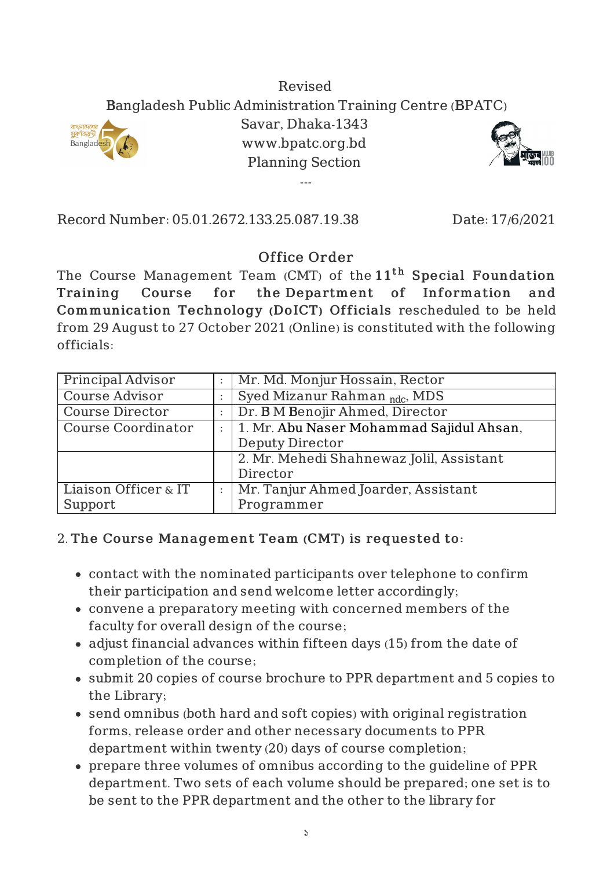## Revised Bangladesh Public Administration Training Centre (BPATC)



Savar, Dhaka-1343 www.bpatc.org.bd Planning Section

---



Record Number: 05.01.2672.133.25.087.19.38 Date: 17/6/2021

## Office Order

The Course Management Team (CMT) of the  $11^{\rm th}$  Special Foundation Training Course for the Department of Information and Communication Technology (DoICT) Officials rescheduled to be held from 29 August to 27 October 2021 (Online) is constituted with the following officials:

| Principal Advisor         | Mr. Md. Monjur Hossain, Rector           |
|---------------------------|------------------------------------------|
| Course Advisor            | Syed Mizanur Rahman <sub>ndc</sub> , MDS |
| <b>Course Director</b>    | Dr. B M Benojir Ahmed, Director          |
| <b>Course Coordinator</b> | 1. Mr. Abu Naser Mohammad Sajidul Ahsan, |
|                           | <b>Deputy Director</b>                   |
|                           | 2. Mr. Mehedi Shahnewaz Jolil, Assistant |
|                           | Director                                 |
| Liaison Officer & IT      | Mr. Tanjur Ahmed Joarder, Assistant      |
| Support                   | Programmer                               |

## 2. The Course Management Team (CMT) is requested to:

- contact with the nominated participants over telephone to confirm their participation and send welcome letter accordingly;
- convene a preparatory meeting with concerned members of the faculty for overall design of the course;
- adjust financial advances within fifteen days (15) from the date of completion of the course;
- submit 20 copies of course brochure to PPR department and 5 copies to the Library;
- send omnibus (both hard and soft copies) with original registration forms, release order and other necessary documents to PPR department within twenty (20) days of course completion;
- prepare three volumes of omnibus according to the guideline of PPR department. Two sets of each volume should be prepared; one set is to be sent to the PPR department and the other to the library for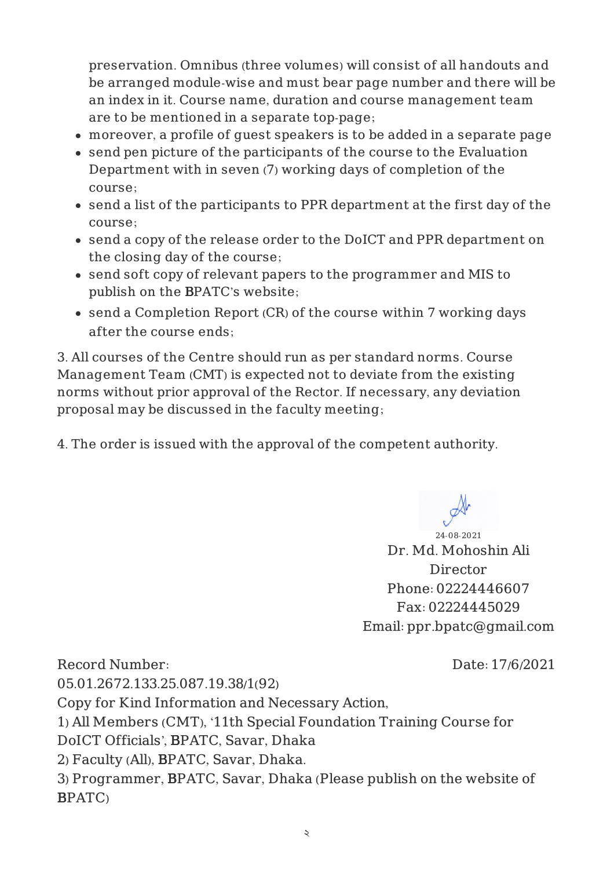preservation. Omnibus (three volumes) will consist of all handouts and be arranged module-wise and must bear page number and there will be an index in it. Course name, duration and course management team are to be mentioned in a separate top-page;

- moreover, a profile of guest speakers is to be added in a separate page
- send pen picture of the participants of the course to the Evaluation Department with in seven (7) working days of completion of the course;
- send a list of the participants to PPR department at the first day of the course;
- send a copy of the release order to the DoICT and PPR department on the closing day of the course;
- send soft copy of relevant papers to the programmer and MIS to publish on the BPATC's website;
- send a Completion Report (CR) of the course within 7 working days after the course ends;

3. All courses of the Centre should run as per standard norms. Course Management Team (CMT) is expected not to deviate from the existing norms without prior approval of the Rector. If necessary, any deviation proposal may be discussed in the faculty meeting;

4. The order is issued with the approval of the competent authority.

24-08-2021 Dr. Md. Mohoshin Ali Director Phone: 02224446607 Fax: 02224445029 Email: ppr.bpatc@gmail.com

Record Number: 05.01.2672.133.25.087.19.38/1(92) Copy for Kind Information and Necessary Action, 1) All Members (CMT), '11th Special Foundation Training Course for DoICT Officials', BPATC, Savar, Dhaka 2) Faculty (All), BPATC, Savar, Dhaka. 3) Programmer, BPATC, Savar, Dhaka (Please publish on the website of BPATC)

Date: 17/6/2021